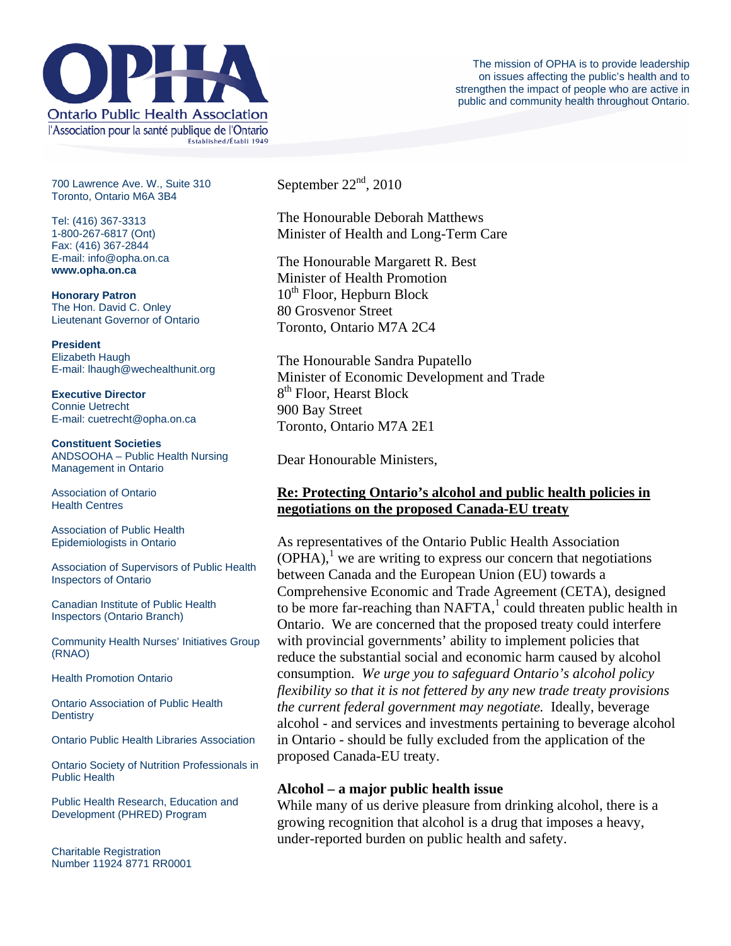

700 Lawrence Ave. W., Suite 310 Toronto, Ontario M6A 3B4

Tel: (416) 367-3313 1-800-267-6817 (Ont) Fax: (416) 367-2844 E-mail: info@opha.on.ca **www.opha.on.ca** 

**Honorary Patron**  The Hon. David C. Onley Lieutenant Governor of Ontario

**President**  Elizabeth Haugh E-mail: lhaugh@wechealthunit.org

**Executive Director**  Connie Uetrecht E-mail: cuetrecht@opha.on.ca

**Constituent Societies**  ANDSOOHA – Public Health Nursing Management in Ontario

Association of Ontario Health Centres

Association of Public Health Epidemiologists in Ontario

Association of Supervisors of Public Health Inspectors of Ontario

Canadian Institute of Public Health Inspectors (Ontario Branch)

Community Health Nurses' Initiatives Group (RNAO)

Health Promotion Ontario

Ontario Association of Public Health **Dentistry** 

Ontario Public Health Libraries Association

Ontario Society of Nutrition Professionals in Public Health

Public Health Research, Education and Development (PHRED) Program

Charitable Registration Number 11924 8771 RR0001 September  $22<sup>nd</sup>$ , 2010

The Honourable Deborah Matthews Minister of Health and Long-Term Care

The Honourable Margarett R. Best Minister of Health Promotion  $10<sup>th</sup>$  Floor, Hepburn Block 80 Grosvenor Street Toronto, Ontario M7A 2C4

The Honourable Sandra Pupatello Minister of Economic Development and Trade 8<sup>th</sup> Floor, Hearst Block 900 Bay Street Toronto, Ontario M7A 2E1

Dear Honourable Ministers,

## **Re: Protecting Ontario's alcohol and public health policies in negotiations on the proposed Canada-EU treaty**

As representatives of the Ontario Public Health Association  $(OPHA)$ ,<sup>1</sup> we are writing to express our concern that negotiations between Canada and the European Union (EU) towards a Comprehensive Economic and Trade Agreement (CETA), designed to be more far-reaching than  $NAFTA$ ,<sup>1</sup> could threaten public health in Ontario. We are concerned that the proposed treaty could interfere with provincial governments' ability to implement policies that reduce the substantial social and economic harm caused by alcohol consumption. *We urge you to safeguard Ontario's alcohol policy flexibility so that it is not fettered by any new trade treaty provisions the current federal government may negotiate.* Ideally, beverage alcohol - and services and investments pertaining to beverage alcohol in Ontario - should be fully excluded from the application of the proposed Canada-EU treaty.

## **Alcohol – a major public health issue**

While many of us derive pleasure from drinking alcohol, there is a growing recognition that alcohol is a drug that imposes a heavy, under-reported burden on public health and safety.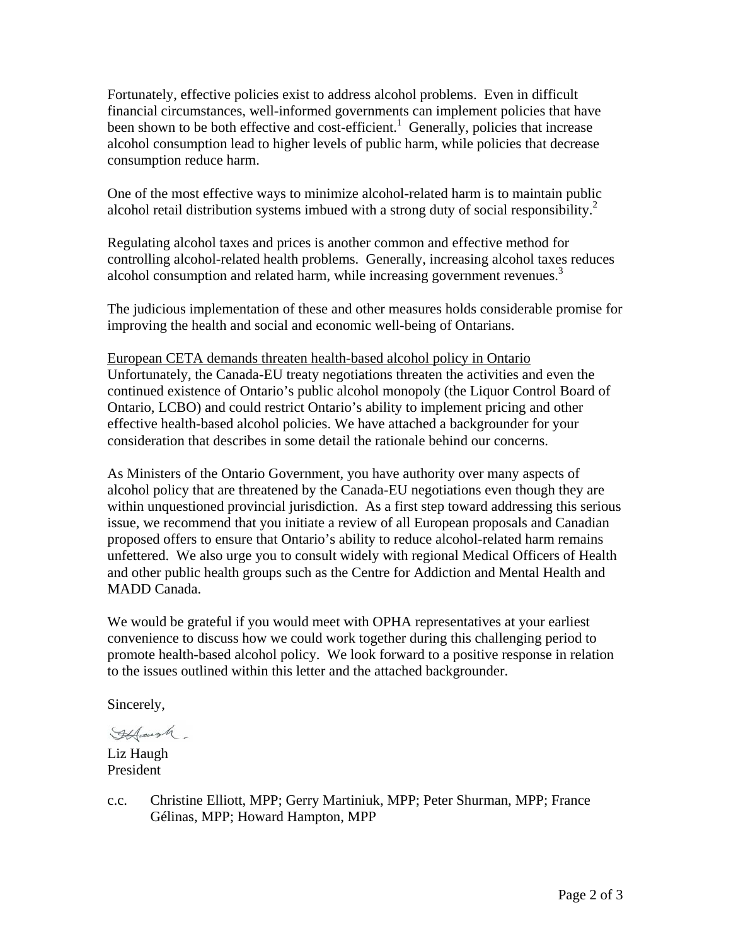Fortunately, effective policies exist to address alcohol problems. Even in difficult financial circumstances, well-informed governments can implement policies that have been shown to be both effective and cost-efficient.<sup>1</sup> Generally, policies that increase alcohol consumption lead to higher levels of public harm, while policies that decrease consumption reduce harm.

One of the most effective ways to minimize alcohol-related harm is to maintain public alcohol retail distribution systems imbued with a strong duty of social responsibility.<sup>2</sup>

Regulating alcohol taxes and prices is another common and effective method for controlling alcohol-related health problems. Generally, increasing alcohol taxes reduces alcohol consumption and related harm, while increasing government revenues.<sup>3</sup>

The judicious implementation of these and other measures holds considerable promise for improving the health and social and economic well-being of Ontarians.

European CETA demands threaten health-based alcohol policy in Ontario Unfortunately, the Canada-EU treaty negotiations threaten the activities and even the continued existence of Ontario's public alcohol monopoly (the Liquor Control Board of Ontario, LCBO) and could restrict Ontario's ability to implement pricing and other effective health-based alcohol policies. We have attached a backgrounder for your consideration that describes in some detail the rationale behind our concerns.

As Ministers of the Ontario Government, you have authority over many aspects of alcohol policy that are threatened by the Canada-EU negotiations even though they are within unquestioned provincial jurisdiction. As a first step toward addressing this serious issue, we recommend that you initiate a review of all European proposals and Canadian proposed offers to ensure that Ontario's ability to reduce alcohol-related harm remains unfettered. We also urge you to consult widely with regional Medical Officers of Health and other public health groups such as the Centre for Addiction and Mental Health and MADD Canada.

We would be grateful if you would meet with OPHA representatives at your earliest convenience to discuss how we could work together during this challenging period to promote health-based alcohol policy. We look forward to a positive response in relation to the issues outlined within this letter and the attached backgrounder.

Sincerely,

If faush

Liz Haugh President

c.c. Christine Elliott, MPP; Gerry Martiniuk, MPP; Peter Shurman, MPP; France Gélinas, MPP; Howard Hampton, MPP